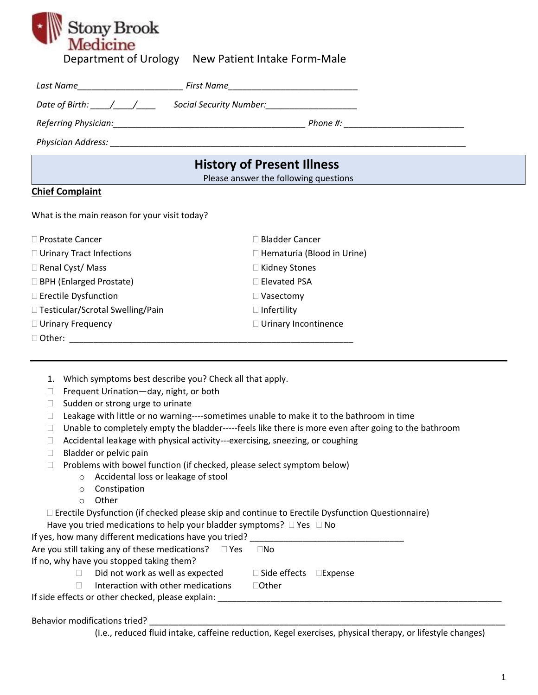

Department of Urology New Patient Intake Form-Male

| Last Name                                                                                           |                                       |  |
|-----------------------------------------------------------------------------------------------------|---------------------------------------|--|
| Date of Birth: $\left/$ $\left/$                                                                    | Social Security Number:               |  |
|                                                                                                     |                                       |  |
| Physician Address: North American Section 1986 and 2008 and 2008 and 2008 and 2008 and 2008 and 200 |                                       |  |
|                                                                                                     |                                       |  |
|                                                                                                     | <b>History of Present Illness</b>     |  |
|                                                                                                     | Please answer the following questions |  |
| <b>Chief Complaint</b>                                                                              |                                       |  |

| □ Prostate Cancer                  | $\Box$ Bladder Cancer        |
|------------------------------------|------------------------------|
| $\Box$ Urinary Tract Infections    | □ Hematuria (Blood in Urine) |
| $\Box$ Renal Cyst/ Mass            | $\Box$ Kidney Stones         |
| $\Box$ BPH (Enlarged Prostate)     | □ Elevated PSA               |
| $\Box$ Erectile Dysfunction        | $\Box$ Vasectomy             |
| □ Testicular/Scrotal Swelling/Pain | $\Box$ Infertility           |
| $\Box$ Urinary Frequency           | □ Urinary Incontinence       |
| $\Box$ Other:                      |                              |

- 1. Which symptoms best describe you? Check all that apply.
- □ Frequent Urination day, night, or both
- $\Box$  Sudden or strong urge to urinate
- $\Box$  Leakage with little or no warning----sometimes unable to make it to the bathroom in time
- $\Box$  Unable to completely empty the bladder-----feels like there is more even after going to the bathroom
- □ Accidental leakage with physical activity---exercising, sneezing, or coughing
- $\Box$  Bladder or pelvic pain
- $\Box$  Problems with bowel function (if checked, please select symptom below)
	- o Accidental loss or leakage of stool
	- o Constipation
	- o Other

Erectile Dysfunction (if checked please skip and continue to Erectile Dysfunction Questionnaire)

| Have you tried medications to help your bladder symptoms? $\Box$ Yes $\Box$ No |  |  |  |
|--------------------------------------------------------------------------------|--|--|--|
|--------------------------------------------------------------------------------|--|--|--|

| If yes, how many different medications have you tried?       |     |  |
|--------------------------------------------------------------|-----|--|
| Are you still taking any of these medications? $\square$ Yes | ⊟No |  |

If no, why have you stopped taking them?

 $\Box$  Did not work as well as expected  $\Box$  Side effects  $\Box$  Expense

 $\Box$  Interaction with other medications  $\Box$  Other

If side effects or other checked, please explain:

Behavior modifications tried?

(I.e., reduced fluid intake, caffeine reduction, Kegel exercises, physical therapy, or lifestyle changes)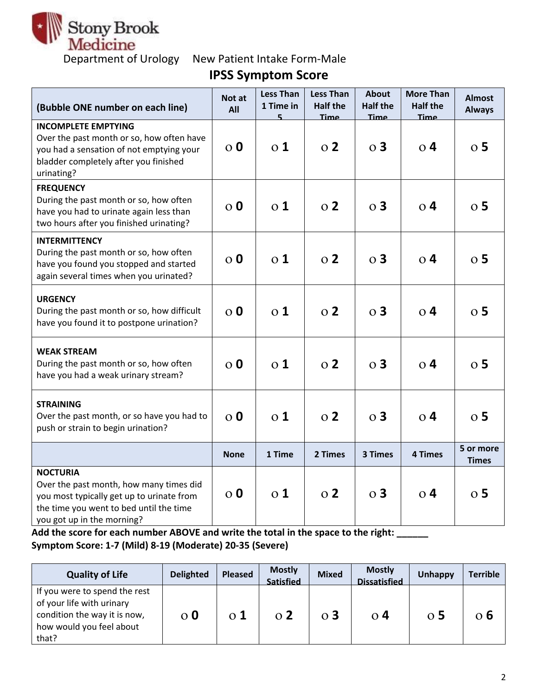

**IPSS Symptom Score**

| (Bubble ONE number on each line)                                                                                                                                                 | Not at<br>All    | <b>Less Than</b><br>1 Time in<br>5 | <b>Less Than</b><br><b>Half the</b><br><b>Time</b> | <b>About</b><br><b>Half the</b><br>Time | <b>More Than</b><br><b>Half the</b><br>Time | <b>Almost</b><br><b>Always</b> |
|----------------------------------------------------------------------------------------------------------------------------------------------------------------------------------|------------------|------------------------------------|----------------------------------------------------|-----------------------------------------|---------------------------------------------|--------------------------------|
| <b>INCOMPLETE EMPTYING</b><br>Over the past month or so, how often have<br>you had a sensation of not emptying your<br>bladder completely after you finished<br>urinating?       | $\overline{0}$   | $\overline{0}$ 1                   | $\Omega$                                           | $\Omega$ 3                              | $\overline{0}$ 4                            | $\overline{O}$ 5               |
| <b>FREQUENCY</b><br>During the past month or so, how often<br>have you had to urinate again less than<br>two hours after you finished urinating?                                 | $\overline{O}$ 0 | $\Omega$ 1                         | $\Omega$                                           | $\Omega$ 3                              | 0 <sub>4</sub>                              | $\overline{0}$ 5               |
| <b>INTERMITTENCY</b><br>During the past month or so, how often<br>have you found you stopped and started<br>again several times when you urinated?                               | $\Omega$         | $\Omega$ 1                         | $\Omega$                                           | $\Omega$ 3                              | $\Omega$ 4                                  | $\overline{0}$ 5               |
| <b>URGENCY</b><br>During the past month or so, how difficult<br>have you found it to postpone urination?                                                                         | $\overline{0}$   | $\overline{0}$ 1                   | $\overline{O}$ 2                                   | $\overline{O}$ 3                        | $\overline{0}$ 4                            | $\overline{O}$ 5               |
| <b>WEAK STREAM</b><br>During the past month or so, how often<br>have you had a weak urinary stream?                                                                              | $\overline{0}$   | $\overline{0}$ 1                   | $\Omega$                                           | $\overline{O}$ 3                        | $\Omega$ 4                                  | $\overline{O}$ 5               |
| <b>STRAINING</b><br>Over the past month, or so have you had to<br>push or strain to begin urination?                                                                             | $\overline{0}$   | $\overline{0}$ 1                   | $\Omega$                                           | $\overline{O}$ 3                        | 0 <sub>4</sub>                              | $\overline{O}$ 5               |
|                                                                                                                                                                                  | <b>None</b>      | 1 Time                             | 2 Times                                            | 3 Times                                 | 4 Times                                     | 5 or more<br><b>Times</b>      |
| <b>NOCTURIA</b><br>Over the past month, how many times did<br>you most typically get up to urinate from<br>the time you went to bed until the time<br>you got up in the morning? | $\overline{0}$   | $\overline{0}1$                    | $\Omega$                                           | $\overline{O}$ 3                        | $\Omega$ 4                                  | 0 <sub>5</sub>                 |

**Add the score for each number ABOVE and write the total in the space to the right: \_\_\_\_\_\_ Symptom Score: 1-7 (Mild) 8-19 (Moderate) 20-35 (Severe)**

| <b>Quality of Life</b>                                                                                                          | <b>Delighted</b> | <b>Pleased</b> | <b>Mostly</b><br><b>Satisfied</b> | <b>Mixed</b> | <b>Mostly</b><br><b>Dissatisfied</b> | Unhappy          | <b>Terrible</b> |
|---------------------------------------------------------------------------------------------------------------------------------|------------------|----------------|-----------------------------------|--------------|--------------------------------------|------------------|-----------------|
| If you were to spend the rest<br>of your life with urinary<br>condition the way it is now,<br>how would you feel about<br>that? | $\Omega$         | $\Omega$ 1     | $\Omega$                          | $\Omega$ 3   | $\Omega$ 4                           | $\overline{0}$ 5 | ი b             |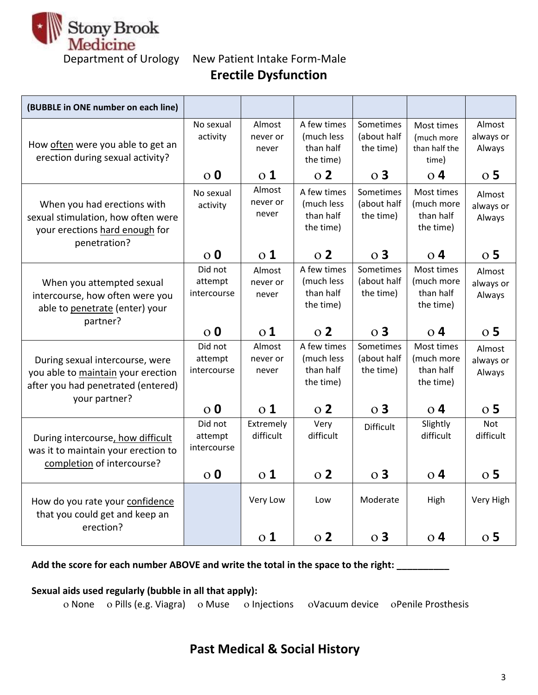

Department of Urology New Patient Intake Form-Male **Erectile Dysfunction**

| (BUBBLE in ONE number on each line)                                                                                 |                                   |                             |                                                     |                                       |                                                    |                               |
|---------------------------------------------------------------------------------------------------------------------|-----------------------------------|-----------------------------|-----------------------------------------------------|---------------------------------------|----------------------------------------------------|-------------------------------|
| How often were you able to get an<br>erection during sexual activity?                                               | No sexual<br>activity             | Almost<br>never or<br>never | A few times<br>(much less<br>than half<br>the time) | Sometimes<br>(about half<br>the time) | Most times<br>(much more<br>than half the<br>time) | Almost<br>always or<br>Always |
|                                                                                                                     | $\overline{0}$                    | $\overline{0}$ 1            | $\overline{O}$ 2                                    | $\overline{O}$ 3                      | $\overline{O}$ 4                                   | $\overline{O}$ 5              |
| When you had erections with<br>sexual stimulation, how often were<br>your erections hard enough for<br>penetration? | No sexual<br>activity             | Almost<br>never or<br>never | A few times<br>(much less<br>than half<br>the time) | Sometimes<br>(about half<br>the time) | Most times<br>(much more<br>than half<br>the time) | Almost<br>always or<br>Always |
|                                                                                                                     | $\overline{0}$                    | $\overline{0}$ 1            | 0 <sub>2</sub>                                      | $\overline{O}$ 3                      | $\overline{O}$ 4                                   | $\overline{O}$ 5              |
| When you attempted sexual<br>intercourse, how often were you<br>able to penetrate (enter) your                      | Did not<br>attempt<br>intercourse | Almost<br>never or<br>never | A few times<br>(much less<br>than half<br>the time) | Sometimes<br>(about half<br>the time) | Most times<br>(much more<br>than half<br>the time) | Almost<br>always or<br>Always |
| partner?                                                                                                            | $\overline{0}$ 0                  | $\overline{01}$             | $\Omega$                                            | $\Omega$ 3                            | $\Omega$ 4                                         | $\overline{0}$ 5              |
| During sexual intercourse, were<br>you able to maintain your erection<br>after you had penetrated (entered)         | Did not<br>attempt<br>intercourse | Almost<br>never or<br>never | A few times<br>(much less<br>than half<br>the time) | Sometimes<br>(about half<br>the time) | Most times<br>(much more<br>than half              | Almost<br>always or<br>Always |
|                                                                                                                     |                                   |                             |                                                     |                                       | the time)                                          |                               |
| your partner?                                                                                                       | $\overline{0}$ 0                  | $\overline{0}$ 1            | $\overline{O}$ 2                                    | $\overline{O}$ 3                      | $\overline{O}$ 4                                   | $\overline{O}$ 5              |
| During intercourse, how difficult<br>was it to maintain your erection to                                            | Did not<br>attempt<br>intercourse | Extremely<br>difficult      | Very<br>difficult                                   | <b>Difficult</b>                      | Slightly<br>difficult                              | <b>Not</b><br>difficult       |
| completion of intercourse?                                                                                          | $\overline{O}$ 0                  | $\overline{0}$ 1            | $\overline{O}$ 2                                    | $\overline{O}$ 3                      | $\overline{0}$ 4                                   | $\overline{O}$ 5              |
| How do you rate your confidence<br>that you could get and keep an<br>erection?                                      |                                   | Very Low                    | Low                                                 | Moderate<br>$\overline{O}$ 3          | High                                               | Very High<br>$\overline{O}$ 5 |

**Add the score for each number ABOVE and write the total in the space to the right: \_\_\_\_\_\_\_\_\_\_**

## **Sexual aids used regularly (bubble in all that apply):**

o None o Pills (e.g. Viagra) o Muse o Injections o Vacuum device o Penile Prosthesis

# **Past Medical & Social History**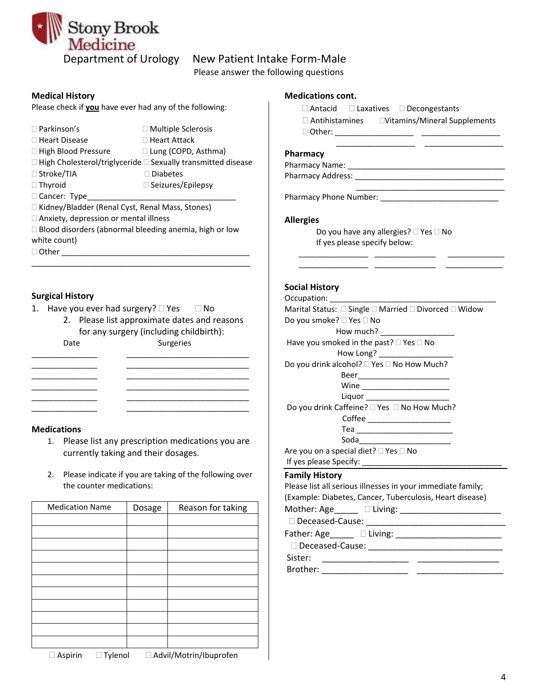

# Department of Urology New Patient Intake Form-Male

Please answer the following questions

Please check if **you** have ever had any of the following:

- $\Box$  Parkinson's  $\Box$  Multiple Sclerosis  $\Box$  Heart Disease  $\Box$  Heart Attack □ High Blood Pressure □ Lung (COPD, Asthma)  $\Box$  High Cholesterol/triglyceride  $\Box$  Sexually transmitted disease
- □ Stroke/TIA Diabetes □ Thyroid and Seizures/Epilepsy
- 
- 
- $\Box$  Cancer: Type
	-

□ Kidney/Bladder (Renal Cyst, Renal Mass, Stones)

- □ Anxiety, depression or mental illness
- $\Box$  Blood disorders (abnormal bleeding anemia, high or low white count)
- $\Box$  Other

### **Surgical History**

- 1. Have you ever had surgery?  $\Box$  Yes  $\Box$  No
	- 2. Please list approximate dates and reasons for any surgery (including childbirth): Date Surgeries

\_\_\_\_\_\_\_\_\_\_\_\_\_\_\_ \_\_\_\_\_\_\_\_\_\_\_\_\_\_\_\_\_\_\_\_\_\_\_\_\_\_\_\_ \_\_\_\_\_\_\_\_\_\_\_\_\_\_\_ \_\_\_\_\_\_\_\_\_\_\_\_\_\_\_\_\_\_\_\_\_\_\_\_\_\_\_\_ \_\_\_\_\_\_\_\_\_\_\_\_\_\_\_ \_\_\_\_\_\_\_\_\_\_\_\_\_\_\_\_\_\_\_\_\_\_\_\_\_\_\_\_ \_\_\_\_\_\_\_\_\_\_\_\_\_\_\_ \_\_\_\_\_\_\_\_\_\_\_\_\_\_\_\_\_\_\_\_\_\_\_\_\_\_\_\_

\_\_\_\_\_\_\_\_\_\_\_\_\_\_\_ \_\_\_\_\_\_\_\_\_\_\_\_\_\_\_\_\_\_\_\_\_\_\_\_\_\_\_\_

#### **Medications**

- 1. Please list any prescription medications you are currently taking and their dosages.
- 2. Please indicate if you are taking of the following over the counter medications:

| <b>Medication Name</b> | Dosage | Reason for taking |
|------------------------|--------|-------------------|
|                        |        |                   |
|                        |        |                   |
|                        |        |                   |
|                        |        |                   |
|                        |        |                   |
|                        |        |                   |
|                        |        |                   |
|                        |        |                   |
|                        |        |                   |
|                        |        |                   |
|                        |        |                   |

#### **Medical History Medications cont.**

- Antacid Laxatives Decongestants
- $\Box$  Antihistamines  $\Box$  Vitamins/Mineral Supplements Other: \_\_\_\_\_\_\_\_\_\_\_\_\_\_\_\_\_\_ \_\_\_\_\_\_\_\_\_\_\_\_\_\_\_\_\_\_

\_\_\_\_\_\_\_\_\_\_\_\_\_\_\_\_\_\_ \_\_\_\_\_\_\_\_\_\_\_\_\_\_\_\_\_\_

 $\mathcal{L}_\text{max}$ 

#### **Pharmacy**

Pharmacy Name: \_\_\_\_\_\_\_\_\_\_\_\_\_\_\_\_\_\_\_\_\_\_\_\_\_\_\_\_\_\_\_\_\_\_\_\_

Pharmacy Address: \_\_\_\_\_\_\_\_\_\_\_\_\_\_\_\_\_\_\_\_\_\_\_\_\_\_\_\_\_\_\_\_\_\_

Pharmacy Phone Number: \_\_\_\_\_\_\_\_\_\_\_\_\_\_\_\_\_\_\_\_\_\_\_\_\_\_\_

#### **Allergies**

Do you have any allergies?  $\Box$  Yes  $\Box$  No If yes please specify below:

 \_\_\_\_\_\_\_\_\_\_\_\_\_\_\_\_ \_\_\_\_\_\_\_\_\_\_\_\_\_\_ \_\_\_\_\_\_\_\_\_\_\_\_\_ \_\_\_\_\_\_\_\_\_\_\_\_\_\_\_\_ \_\_\_\_\_\_\_\_\_\_\_\_\_\_ \_\_\_\_\_\_\_\_\_\_\_\_\_

#### **Social History**

| Marital Status: □ Single □ Married □ Divorced □ Widow       |
|-------------------------------------------------------------|
| Do you smoke? □ Yes □ No                                    |
| How much? _____________________                             |
| Have you smoked in the past? □ Yes □ No                     |
| How Long? _____________________                             |
| Do you drink alcohol? $\Box$ Yes $\Box$ No How Much?        |
| Beer____________________________                            |
|                                                             |
| Liquor _______________________                              |
| Do you drink Caffeine? □ Yes □ No How Much?                 |
| Coffee _____________________                                |
| Tea _____________________________                           |
| Soda_____________________________                           |
| Are you on a special diet? □ Yes □ No                       |
|                                                             |
| <b>Family History</b>                                       |
| Please list all serious illnesses in your immediate family; |
| (Example: Diabetes, Cancer, Tuberculosis, Heart disease)    |
|                                                             |
|                                                             |
| Father: Age______ [ Living:                                 |

Deceased-Cause: \_\_\_\_\_\_\_\_\_\_\_\_\_\_\_\_\_\_\_\_\_\_\_\_\_\_\_\_

Sister: \_\_\_\_\_\_\_\_\_\_\_\_\_\_\_\_\_\_ \_\_\_\_\_\_\_\_\_\_\_\_\_\_\_\_\_ Brother: \_\_\_\_\_\_\_\_\_\_\_\_\_\_\_\_\_\_ \_\_\_\_\_\_\_\_\_\_\_\_\_\_\_\_\_\_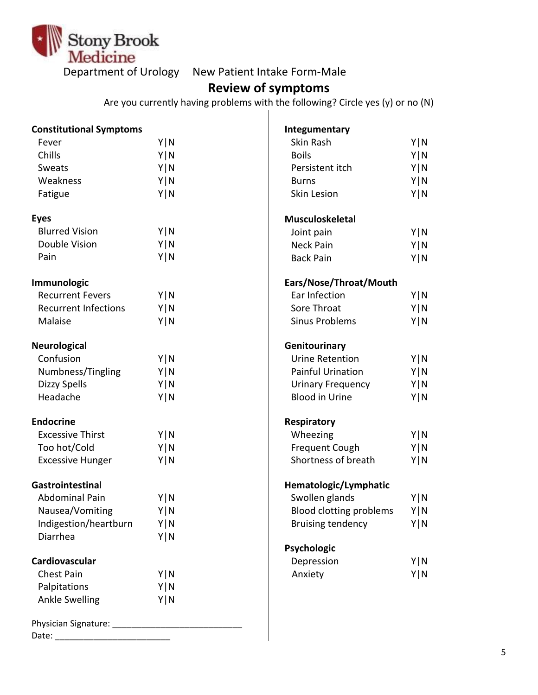

Department of Urology New Patient Intake Form-Male

# **Review of symptoms**

Are you currently having problems with the following? Circle yes (y) or no (N)

| <b>Constitutional Symptoms</b> |       | Integumentary                  |       |
|--------------------------------|-------|--------------------------------|-------|
| Fever                          | Y N   | Skin Rash                      | Y   N |
| Chills                         | Y   N | <b>Boils</b>                   | Y N   |
| Sweats                         | Y   N | Persistent itch                | Y N   |
| Weakness                       | Y   N | <b>Burns</b>                   | Y N   |
| Fatigue                        | Y N   | <b>Skin Lesion</b>             | Y N   |
| <b>Eyes</b>                    |       | <b>Musculoskeletal</b>         |       |
| <b>Blurred Vision</b>          | Y   N | Joint pain                     | Y N   |
| Double Vision                  | Y   N | Neck Pain                      | Y   N |
| Pain                           | Y N   | <b>Back Pain</b>               | Y   N |
| Immunologic                    |       | Ears/Nose/Throat/Mouth         |       |
| <b>Recurrent Fevers</b>        | Y   N | Ear Infection                  | Y   N |
| <b>Recurrent Infections</b>    | Y   N | Sore Throat                    | Y N   |
| Malaise                        | Y N   | <b>Sinus Problems</b>          | Y   N |
| <b>Neurological</b>            |       | Genitourinary                  |       |
| Confusion                      | Y   N | <b>Urine Retention</b>         | Y N   |
| Numbness/Tingling              | Y N   | <b>Painful Urination</b>       | Y N   |
| <b>Dizzy Spells</b>            | Y   N | <b>Urinary Frequency</b>       | Y N   |
| Headache                       | Y   N | <b>Blood in Urine</b>          | Y   N |
| <b>Endocrine</b>               |       | Respiratory                    |       |
| <b>Excessive Thirst</b>        | Y   N | Wheezing                       | Y   N |
| Too hot/Cold                   | Y   N | <b>Frequent Cough</b>          | Y N   |
| <b>Excessive Hunger</b>        | Y   N | Shortness of breath            | Y N   |
| Gastrointestinal               |       | Hematologic/Lymphatic          |       |
| Abdominal Pain                 | Y   N | Swollen glands                 | Y   N |
| Nausea/Vomiting                | Y N   | <b>Blood clotting problems</b> | Y   N |
| Indigestion/heartburn          | Y   N | <b>Bruising tendency</b>       | Y   N |
| Diarrhea                       | Y N   |                                |       |
|                                |       | Psychologic                    |       |
| Cardiovascular                 |       | Depression                     | Y N   |
| <b>Chest Pain</b>              | Y N   | Anxiety                        | Y N   |
| Palpitations                   | Y   N |                                |       |
| <b>Ankle Swelling</b>          | Y N   |                                |       |
|                                |       |                                |       |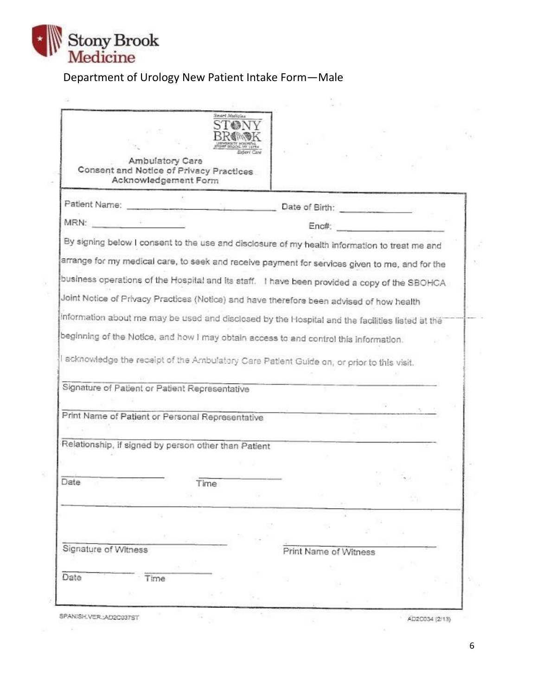

R

¥

 $\sim$ 

# Department of Urology New Patient Intake Form—Male

| Ambulatory Care<br>Consent and Notice of Privacy Practices<br>Acknowledgement Form                                                                                                       | Smart Medicine |                                             |  |  |
|------------------------------------------------------------------------------------------------------------------------------------------------------------------------------------------|----------------|---------------------------------------------|--|--|
| Patient Name:                                                                                                                                                                            |                | Date of Birth: <b>Carl Property Company</b> |  |  |
| MRN:                                                                                                                                                                                     |                | Enc#:                                       |  |  |
| By signing below I consent to the use and disclosure of my health information to treat me and                                                                                            |                |                                             |  |  |
| arrange for my medical care, to seek and receive payment for services given to me, and for the                                                                                           |                |                                             |  |  |
| business operations of the Hospital and its staff. I have been provided a copy of the SBOHCA                                                                                             |                |                                             |  |  |
| Joint Notice of Privacy Practices (Notice) and have therefore been advised of how health                                                                                                 |                |                                             |  |  |
|                                                                                                                                                                                          |                |                                             |  |  |
|                                                                                                                                                                                          |                |                                             |  |  |
|                                                                                                                                                                                          |                |                                             |  |  |
|                                                                                                                                                                                          |                |                                             |  |  |
|                                                                                                                                                                                          |                |                                             |  |  |
| information about me may be used and disclosed by the Hospital and the facilities listed at the<br>beginning of the Notice, and how I may obtain access to and control this information. |                |                                             |  |  |
|                                                                                                                                                                                          |                |                                             |  |  |
|                                                                                                                                                                                          |                |                                             |  |  |
| I acknowledge the receipt of the Arnbulatory Care Patient Guide on, or prior to this visit.<br>Signature of Patient or Patient Representative                                            |                |                                             |  |  |
|                                                                                                                                                                                          |                |                                             |  |  |
|                                                                                                                                                                                          |                |                                             |  |  |
|                                                                                                                                                                                          |                |                                             |  |  |
| Print Name of Patient or Personal Representative                                                                                                                                         |                |                                             |  |  |
|                                                                                                                                                                                          |                |                                             |  |  |
|                                                                                                                                                                                          |                |                                             |  |  |
|                                                                                                                                                                                          |                |                                             |  |  |
|                                                                                                                                                                                          | Time           |                                             |  |  |
|                                                                                                                                                                                          |                |                                             |  |  |
|                                                                                                                                                                                          |                |                                             |  |  |
|                                                                                                                                                                                          |                |                                             |  |  |
|                                                                                                                                                                                          |                |                                             |  |  |
| Signature of Witness                                                                                                                                                                     |                | Print Name of Witness                       |  |  |
|                                                                                                                                                                                          |                |                                             |  |  |
| Relationship, if signed by person other than Patient<br>Date                                                                                                                             |                |                                             |  |  |
| Date<br>Time                                                                                                                                                                             |                |                                             |  |  |

AD2C034 (2/13)

6